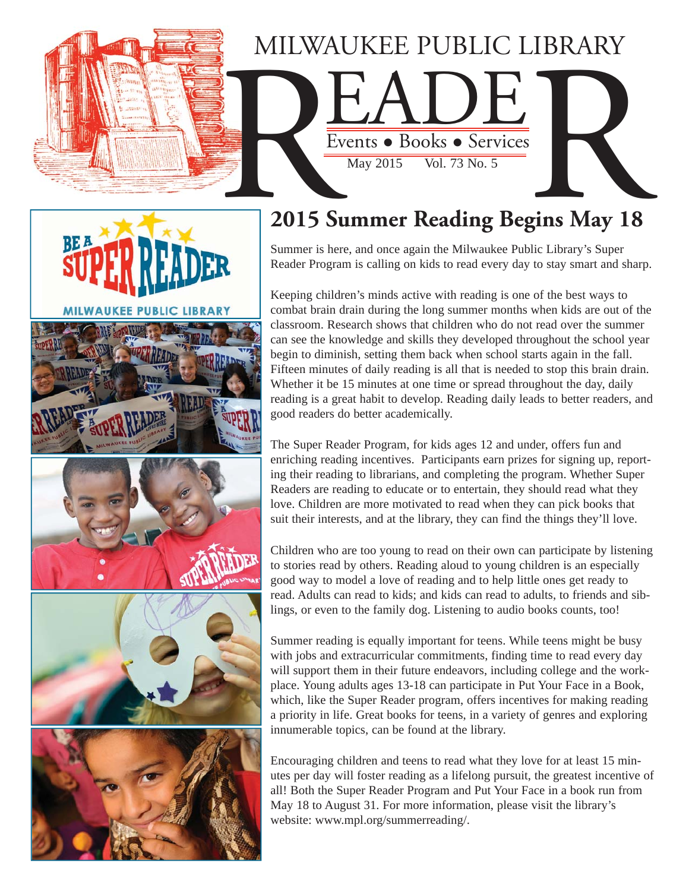

**PUBLIC LIBRARY** 

# **2015 Summer Reading Begins May 18**

Summer is here, and once again the Milwaukee Public Library's Super Reader Program is calling on kids to read every day to stay smart and sharp.

Keeping children's minds active with reading is one of the best ways to combat brain drain during the long summer months when kids are out of the classroom. Research shows that children who do not read over the summer can see the knowledge and skills they developed throughout the school year begin to diminish, setting them back when school starts again in the fall. Fifteen minutes of daily reading is all that is needed to stop this brain drain. Whether it be 15 minutes at one time or spread throughout the day, daily reading is a great habit to develop. Reading daily leads to better readers, and good readers do better academically.

The Super Reader Program, for kids ages 12 and under, offers fun and enriching reading incentives. Participants earn prizes for signing up, reporting their reading to librarians, and completing the program. Whether Super Readers are reading to educate or to entertain, they should read what they love. Children are more motivated to read when they can pick books that suit their interests, and at the library, they can find the things they'll love.

Children who are too young to read on their own can participate by listening to stories read by others. Reading aloud to young children is an especially good way to model a love of reading and to help little ones get ready to read. Adults can read to kids; and kids can read to adults, to friends and siblings, or even to the family dog. Listening to audio books counts, too!

Summer reading is equally important for teens. While teens might be busy with jobs and extracurricular commitments, finding time to read every day will support them in their future endeavors, including college and the workplace. Young adults ages 13-18 can participate in Put Your Face in a Book, which, like the Super Reader program, offers incentives for making reading a priority in life. Great books for teens, in a variety of genres and exploring innumerable topics, can be found at the library.

Encouraging children and teens to read what they love for at least 15 minutes per day will foster reading as a lifelong pursuit, the greatest incentive of all! Both the Super Reader Program and Put Your Face in a book run from May 18 to August 31. For more information, please visit the library's website: www.mpl.org/summerreading/.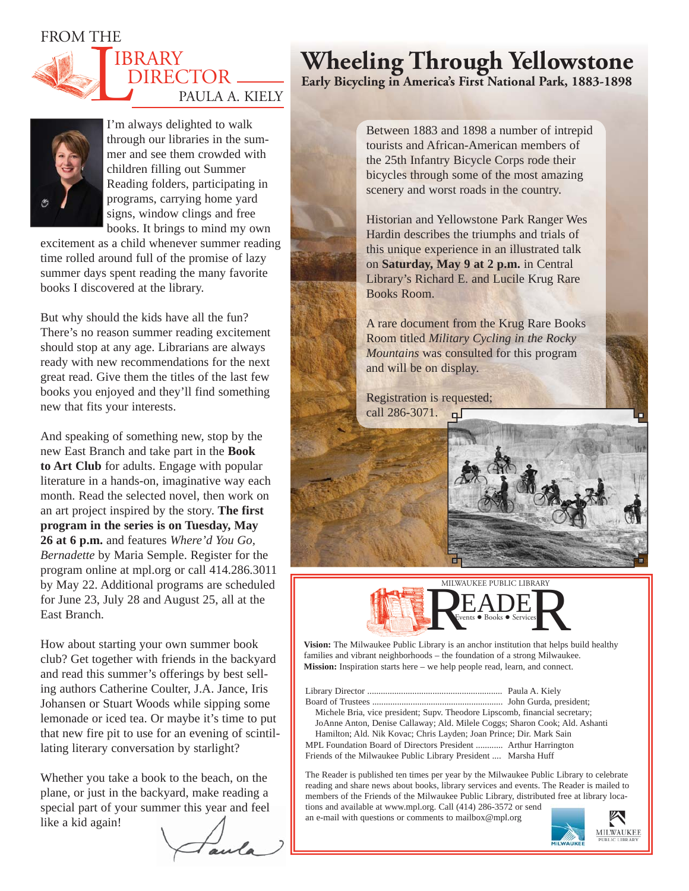FROM THE





I'm always delighted to walk through our libraries in the summer and see them crowded with children filling out Summer Reading folders, participating in programs, carrying home yard signs, window clings and free books. It brings to mind my own

excitement as a child whenever summer reading time rolled around full of the promise of lazy summer days spent reading the many favorite books I discovered at the library.

But why should the kids have all the fun? There's no reason summer reading excitement should stop at any age. Librarians are always ready with new recommendations for the next great read. Give them the titles of the last few books you enjoyed and they'll find something new that fits your interests.

And speaking of something new, stop by the new East Branch and take part in the **Book to Art Club** for adults. Engage with popular literature in a hands-on, imaginative way each month. Read the selected novel, then work on an art project inspired by the story. **The first program in the series is on Tuesday, May 26 at 6 p.m.** and features *Where'd You Go, Bernadette* by Maria Semple. Register for the program online at mpl.org or call 414.286.3011 by May 22. Additional programs are scheduled for June 23, July 28 and August 25, all at the East Branch.

How about starting your own summer book club? Get together with friends in the backyard and read this summer's offerings by best selling authors Catherine Coulter, J.A. Jance, Iris Johansen or Stuart Woods while sipping some lemonade or iced tea. Or maybe it's time to put that new fire pit to use for an evening of scintillating literary conversation by starlight?

Whether you take a book to the beach, on the plane, or just in the backyard, make reading a special part of your summer this year and feel like a kid again!

# **Wheeling Through Yellowstone**

**Early Bicycling in America's First National Park, 1883-1898**

Between 1883 and 1898 a number of intrepid tourists and African-American members of the 25th Infantry Bicycle Corps rode their bicycles through some of the most amazing scenery and worst roads in the country.

Historian and Yellowstone Park Ranger Wes Hardin describes the triumphs and trials of this unique experience in an illustrated talk on **Saturday, May 9 at 2 p.m.** in Central Library's Richard E. and Lucile Krug Rare Books Room.

A rare document from the Krug Rare Books Room titled *Military Cycling in the Rocky Mountains* was consulted for this program and will be on display.

Registration is requested; call  $286 - 3071$ .  $\Box$ 





**Vision:** The Milwaukee Public Library is an anchor institution that helps build healthy families and vibrant neighborhoods – the foundation of a strong Milwaukee. **Mission:** Inspiration starts here – we help people read, learn, and connect.

Library Director ............................................................ Paula A. Kiely Board of Trustees .......................................................... John Gurda, president; Michele Bria, vice president; Supv. Theodore Lipscomb, financial secretary; JoAnne Anton, Denise Callaway; Ald. Milele Coggs; Sharon Cook; Ald. Ashanti Hamilton; Ald. Nik Kovac; Chris Layden; Joan Prince; Dir. Mark Sain MPL Foundation Board of Directors President ............ Arthur Harrington Friends of the Milwaukee Public Library President .... Marsha Huff

The Reader is published ten times per year by the Milwaukee Public Library to celebrate reading and share news about books, library services and events. The Reader is mailed to members of the Friends of the Milwaukee Public Library, distributed free at library locations and available at www.mpl.org. Call (414) 286-3572 or send

an e-mail with questions or comments to mailbox@mpl.org

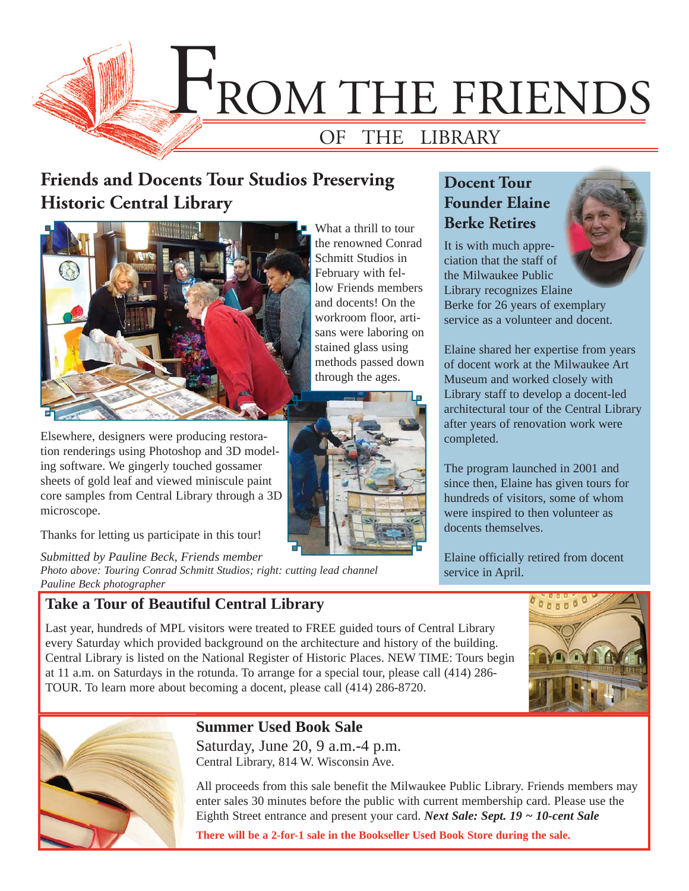

## **Friends and Docents Tour Studios Preserving Historic Central Library**



Elsewhere, designers were producing restoration renderings using Photoshop and 3D modeling software. We gingerly touched gossamer sheets of gold leaf and viewed miniscule paint core samples from Central Library through a 3D microscope.

Thanks for letting us participate in this tour!

*Submitted by Pauline Beck, Friends member Photo above: Touring Conrad Schmitt Studios; right: cutting lead channel Pauline Beck photographer*

TOUR. To learn more about becoming a docent, please call (414) 286-8720.

### **Take a Tour of Beautiful Central Library**

What a thrill to tour the renowned Conrad Schmitt Studios in February with fellow Friends members and docents! On the workroom floor, artisans were laboring on stained glass using methods passed down through the ages.



### **Docent Tour Founder Elaine Berke Retires**

It is with much appreciation that the staff of the Milwaukee Public Library recognizes Elaine



Berke for 26 years of exemplary service as a volunteer and docent.

Elaine shared her expertise from years of docent work at the Milwaukee Art Museum and worked closely with Library staff to develop a docent-led architectural tour of the Central Library after years of renovation work were completed.

The program launched in 2001 and since then, Elaine has given tours for hundreds of visitors, some of whom were inspired to then volunteer as docents themselves.

Elaine officially retired from docent service in April.





### **Summer Used Book Sale**

Saturday, June 20, 9 a.m.-4 p.m. Central Library, 814 W. Wisconsin Ave.

All proceeds from this sale benefit the Milwaukee Public Library. Friends members may enter sales 30 minutes before the public with current membership card. Please use the Eighth Street entrance and present your card. *Next Sale: Sept. 19 ~ 10-cent Sale*

**There will be a 2-for-1 sale in the Bookseller Used Book Store during the sale.**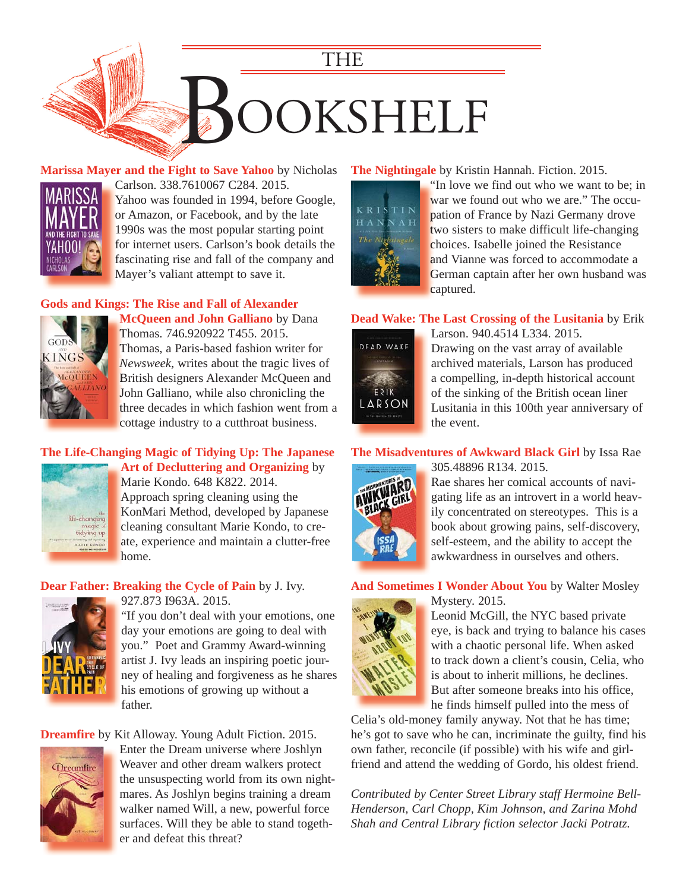

**[Marissa Mayer and the Fight to Save Yahoo](https://encore.mcfls.org/iii/encore/record/C__Rb3804478)** by Nicholas



Carlson. 338.7610067 C284. 2015. C Yahoo was founded in 1994, before Google, or Amazon, or Facebook, and by the late 1990s was the most popular starting point for internet users. Carlson's book details the f fascinating rise and fall of the company and f Mayer's valiant attempt to save it.

#### **[Gods and Kings: The Rise and Fall of Alexander](https://encore.mcfls.org/iii/encore/record/C__Rb3810077)**



**McQueen and John Galliano** by Dana **M** Thomas. 746.920922 T455. 2015. T Thomas, a Paris-based fashion writer for T *Newsweek*, writes about the tragic lives of *N* British designers Alexander McQueen and B John Galliano, while also chronicling the three decades in which fashion went from a t cottage industry to a cutthroat business.

#### **[The Life-Changing Magic of Tidying Up: The Japanese](https://encore.mcfls.org/iii/encore/record/C__Rb3775020)  Art of Decluttering and Organizing** by **A**



Marie Kondo. 648 K822. 2014. M Approach spring cleaning using the A KonMari Method, developed by Japanese K cleaning consultant Marie Kondo, to create, experience and maintain a clutter-free a home. h

#### **Dear Father: Breaking the Cycle of Pain** by J. Ivy.



927.873 I963A. 2015.

["If you don't deal with your emotions, one](https://encore.mcfls.org/iii/encore/record/C__Rb3805759)  day your emotions are going to deal with you." Poet and Grammy Award-winning artist J. Ivy leads an inspiring poetic journey of healing and forgiveness as he shares his emotions of growing up without a father.

#### **Dreamfire** [by Kit Alloway. Young Adult Fiction. 2015.](https://encore.mcfls.org/iii/encore/record/C__Rb3807942)



Enter the Dream universe where Joshlyn Weaver and other dream walkers protect the unsuspecting world from its own nightmares. As Joshlyn begins training a dream walker named Will, a new, powerful force surfaces. Will they be able to stand together and defeat this threat?

#### **The Nightingale** by Kristin Hannah. Fiction. 2015.



"In love we find out who we want to be; in " war we found out who we are." The occupation of France by Nazi Germany drove two sisters to make difficult life-changing choices. Isabelle joined the Resistance and Vianne was forced to accommodate a [German captain after her own husband was](https://encore.mcfls.org/iii/encore/record/C__Rb3794026)  G captured. c

#### **[Dead Wake: The Last Crossing of the Lusitania](https://encore.mcfls.org/iii/encore/record/C__Rb3796445)** by Erik



Larson. 940.4514 L334. 2015. Drawing on the vast array of available archived materials, Larson has produced a compelling, in-depth historical account of the sinking of the British ocean liner Lusitania in this 100th year anniversary of the event.

#### **[The Misadventures of Awkward Black Girl](https://encore.mcfls.org/iii/encore/record/C__Rb3805799)** by Issa Rae 305.48896 R134. 2015.



Rae shares her comical accounts of navigating life as an introvert in a world heavily concentrated on stereotypes. This is a book about growing pains, self-discovery, self-esteem, and the ability to accept the awkwardness in ourselves and others.

#### **And Sometimes I Wonder About You** by Walter Mosley



Mystery. 2015.

Leonid McGill, the NYC based private eye, is back and trying to balance his cases with a chaotic personal life. When asked to track down a client's cousin, Celia, who is about to inherit millions, he declines. But after someone breaks into his office, he finds himself pulled into the mess of

Celia's old-money family anyway. Not that he has time; [he's got to save who he can, incriminate the guilty, find his](https://encore.mcfls.org/iii/encore/record/C__Rb3789261)  own father, reconcile (if possible) with his wife and girlfriend and attend the wedding of Gordo, his oldest friend.

*Contributed by Center Street Library staff Hermoine Bell-Henderson, Carl Chopp, Kim Johnson, and Zarina Mohd Shah and Central Library fiction selector Jacki Potratz.*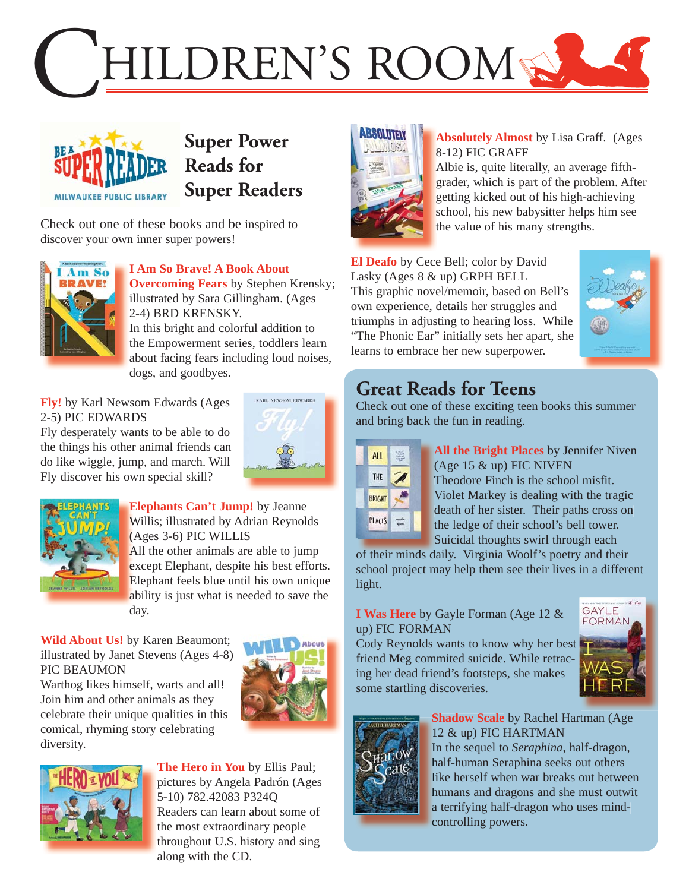



# **Super Power Reads for Super Readers**

Check out one of these books and be inspired to discover your own inner super powers!



**I Am So Brave! A Book About Overcoming Fears** by Stephen Krensky; illustrated by Sara Gillingham. (Ages 2-4) BRD KRENSKY.

In this bright and colorful addition to the Empowerment series, toddlers learn [about facing fears including loud noises,](https://encore.mcfls.org/iii/encore/record/C__Rb3762401)  dogs, and goodbyes.

**Fly!** by Karl Newsom Edwards (Ages 2-5) PIC EDWARDS

Fly desperately wants to be able to do [the things his other animal friends can](https://encore.mcfls.org/iii/encore/record/C__Rb3813957)  do like wiggle, jump, and march. Will Fly discover his own special skill?





**Elephants Can't Jump!** by Jeanne **E** Willis; illustrated by Adrian Reynolds W (Ages 3-6) PIC WILLIS (

All the other animals are able to jump except Elephant, despite his best efforts. [Elephant feels blue until his own unique](https://encore.mcfls.org/iii/encore/record/C__Rb3810600)  E ability is just what is needed to save the day.

**Wild About Us!** by Karen Beaumont; [illustrated by Janet Stevens \(Ages 4-8\)](https://encore.mcfls.org/iii/encore/record/C__Rb3815351)  PIC BEAUMON

Warthog likes himself, warts and all! Join him and other animals as they celebrate their unique qualities in this comical, rhyming story celebrating diversity.





**The Hero in You** by Ellis Paul; [pictures by Angela Padrón \(Ages](https://encore.mcfls.org/iii/encore/record/C__Rb3783810)  5-10) 782.42083 P324Q Readers can learn about some of the most extraordinary people throughout U.S. history and sing along with the CD.



#### **Absolutely Almost** by Lisa Graff. (Ages **A** 8-12) FIC GRAFF 8

Albie is, quite literally, an average fifth-A [grader, which is part of the problem. After](https://encore.mcfls.org/iii/encore/record/C__Rb3748398)  g getting kicked out of his high-achieving g school, his new babysitter helps him see the value of his many strengths.

**El Deafo** by Cece Bell; color by David Lasky (Ages 8 & up) GRPH BELL This graphic novel/memoir, based on Bell's own experience, details her struggles and triumphs in adjusting to hearing loss. While ["The Phonic Ear" initially sets her apart, she](https://encore.mcfls.org/iii/encore/record/C__Rb3771292)  learns to embrace her new superpower.



# **Great Reads for Teens**

Check out one of these exciting teen books this summer and bring back the fun in reading.

| <b>ALL</b>    |  |
|---------------|--|
| THE           |  |
| <b>BRIGHT</b> |  |
| <b>PLACES</b> |  |

**All the Bright Places** by Jennifer Niven **A** (Age  $15 \& \text{up}$ ) FIC NIVEN Theodore Finch is the school misfit. T Violet Markey is dealing with the tragic V death of her sister. Their paths cross on d the ledge of their school's bell tower. Suicidal thoughts swirl through each

of their minds daily. Virginia Woolf's poetry and their [school project may help them see their lives in a different](https://encore.mcfls.org/iii/encore/record/C__Rb3792613)  light.

#### **I Was Here** by Gayle Forman (Age 12 & up) FIC FORMAN

[Cody Reynolds wants to know why her best](https://encore.mcfls.org/iii/encore/record/C__Rb3808251)  friend Meg commited suicide. While retracing her dead friend's footsteps, she makes some startling discoveries.





**Shadow Scale** by Rachel Hartman (Age **S** 12 & up) FIC HARTMAN 1 In the sequel to *Seraphina*, half-dragon, I half-human Seraphina seeks out others h [like herself when war breaks out between](https://encore.mcfls.org/iii/encore/record/C__Rb3811612)  l humans and dragons and she must outwit h a terrifying half-dragon who uses mind-a controlling powers. c